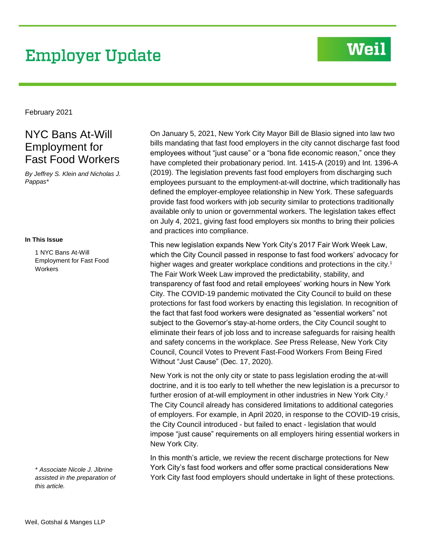# **Employer Update**

## **Weil**

February 2021

## NYC Bans At-Will Employment for Fast Food Workers

*By Jeffrey S. Klein and Nicholas J. Pappas\**

#### **In This Issue**

1 NYC Bans At-Will Employment for Fast Food **Workers** 

*\* Associate Nicole J. Jibrine assisted in the preparation of this article.*

On January 5, 2021, New York City Mayor Bill de Blasio signed into law two bills mandating that fast food employers in the city cannot discharge fast food employees without "just cause" or a "bona fide economic reason," once they have completed their probationary period. Int. 1415-A (2019) and Int. 1396-A (2019). The legislation prevents fast food employers from discharging such employees pursuant to the employment-at-will doctrine, which traditionally has defined the employer-employee relationship in New York. These safeguards provide fast food workers with job security similar to protections traditionally available only to union or governmental workers. The legislation takes effect on July 4, 2021, giving fast food employers six months to bring their policies and practices into compliance.

This new legislation expands New York City's 2017 Fair Work Week Law, which the City Council passed in response to fast food workers' advocacy for higher wages and greater workplace conditions and protections in the city.<sup>1</sup> The Fair Work Week Law improved the predictability, stability, and transparency of fast food and retail employees' working hours in New York City. The COVID-19 pandemic motivated the City Council to build on these protections for fast food workers by enacting this legislation. In recognition of the fact that fast food workers were designated as "essential workers" not subject to the Governor's stay-at-home orders, the City Council sought to eliminate their fears of job loss and to increase safeguards for raising health and safety concerns in the workplace. *See* Press Release, New York City Council, Council Votes to Prevent Fast-Food Workers From Being Fired Without "Just Cause" (Dec. 17, 2020).

New York is not the only city or state to pass legislation eroding the at-will doctrine, and it is too early to tell whether the new legislation is a precursor to further erosion of at-will employment in other industries in New York City.<sup>2</sup> The City Council already has considered limitations to additional categories of employers. For example, in April 2020, in response to the COVID-19 crisis, the City Council introduced - but failed to enact - legislation that would impose "just cause" requirements on all employers hiring essential workers in New York City.

In this month's article, we review the recent discharge protections for New York City's fast food workers and offer some practical considerations New York City fast food employers should undertake in light of these protections.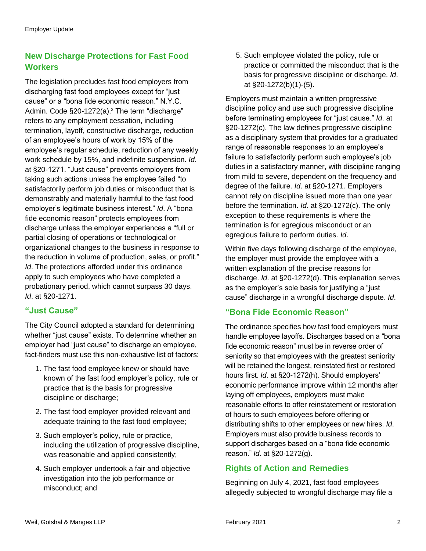### **New Discharge Protections for Fast Food Workers**

The legislation precludes fast food employers from discharging fast food employees except for "just cause" or a "bona fide economic reason." N.Y.C. Admin. Code §20-1272(a).<sup>3</sup> The term "discharge" refers to any employment cessation, including termination, layoff, constructive discharge, reduction of an employee's hours of work by 15% of the employee's regular schedule, reduction of any weekly work schedule by 15%, and indefinite suspension. *Id*. at §20-1271. "Just cause" prevents employers from taking such actions unless the employee failed "to satisfactorily perform job duties or misconduct that is demonstrably and materially harmful to the fast food employer's legitimate business interest." *Id*. A "bona fide economic reason" protects employees from discharge unless the employer experiences a "full or partial closing of operations or technological or organizational changes to the business in response to the reduction in volume of production, sales, or profit." *Id*. The protections afforded under this ordinance apply to such employees who have completed a probationary period, which cannot surpass 30 days. *Id*. at §20-1271.

#### **"Just Cause"**

The City Council adopted a standard for determining whether "just cause" exists. To determine whether an employer had "just cause" to discharge an employee, fact-finders must use this non-exhaustive list of factors:

- 1. The fast food employee knew or should have known of the fast food employer's policy, rule or practice that is the basis for progressive discipline or discharge;
- 2. The fast food employer provided relevant and adequate training to the fast food employee;
- 3. Such employer's policy, rule or practice, including the utilization of progressive discipline, was reasonable and applied consistently;
- 4. Such employer undertook a fair and objective investigation into the job performance or misconduct; and

5. Such employee violated the policy, rule or practice or committed the misconduct that is the basis for progressive discipline or discharge. *Id*. at §20-1272(b)(1)-(5).

Employers must maintain a written progressive discipline policy and use such progressive discipline before terminating employees for "just cause." *Id*. at §20-1272(c). The law defines progressive discipline as a disciplinary system that provides for a graduated range of reasonable responses to an employee's failure to satisfactorily perform such employee's job duties in a satisfactory manner, with discipline ranging from mild to severe, dependent on the frequency and degree of the failure. *Id*. at §20-1271. Employers cannot rely on discipline issued more than one year before the termination. *Id*. at §20-1272(c). The only exception to these requirements is where the termination is for egregious misconduct or an egregious failure to perform duties. *Id*.

Within five days following discharge of the employee, the employer must provide the employee with a written explanation of the precise reasons for discharge. *Id*. at §20-1272(d). This explanation serves as the employer's sole basis for justifying a "just cause" discharge in a wrongful discharge dispute. *Id*.

#### **"Bona Fide Economic Reason"**

The ordinance specifies how fast food employers must handle employee layoffs. Discharges based on a "bona fide economic reason" must be in reverse order of seniority so that employees with the greatest seniority will be retained the longest, reinstated first or restored hours first. *Id*. at §20-1272(h). Should employers' economic performance improve within 12 months after laying off employees, employers must make reasonable efforts to offer reinstatement or restoration of hours to such employees before offering or distributing shifts to other employees or new hires. *Id*. Employers must also provide business records to support discharges based on a "bona fide economic reason." *Id*. at §20-1272(g).

#### **Rights of Action and Remedies**

Beginning on July 4, 2021, fast food employees allegedly subjected to wrongful discharge may file a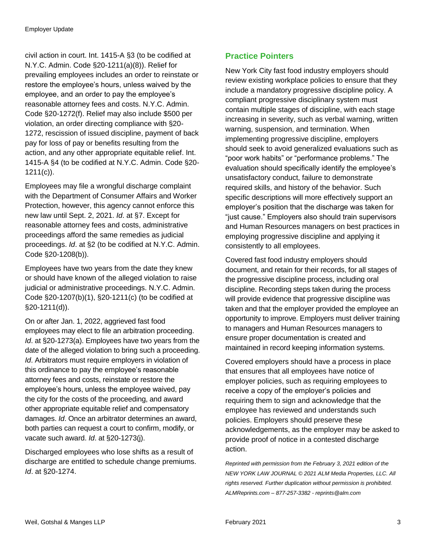civil action in court. Int. 1415-A §3 (to be codified at N.Y.C. Admin. Code §20-1211(a)(8)). Relief for prevailing employees includes an order to reinstate or restore the employee's hours, unless waived by the employee, and an order to pay the employee's reasonable attorney fees and costs. N.Y.C. Admin. Code §20-1272(f). Relief may also include \$500 per violation, an order directing compliance with §20- 1272, rescission of issued discipline, payment of back pay for loss of pay or benefits resulting from the action, and any other appropriate equitable relief. Int. 1415-A §4 (to be codified at N.Y.C. Admin. Code §20- 1211(c)).

Employees may file a wrongful discharge complaint with the Department of Consumer Affairs and Worker Protection, however, this agency cannot enforce this new law until Sept. 2, 2021. *Id*. at §7. Except for reasonable attorney fees and costs, administrative proceedings afford the same remedies as judicial proceedings. *Id*. at §2 (to be codified at N.Y.C. Admin. Code §20-1208(b)).

Employees have two years from the date they knew or should have known of the alleged violation to raise judicial or administrative proceedings. N.Y.C. Admin. Code §20-1207(b)(1), §20-1211(c) (to be codified at §20-1211(d)).

On or after Jan. 1, 2022, aggrieved fast food employees may elect to file an arbitration proceeding. *Id*. at §20-1273(a). Employees have two years from the date of the alleged violation to bring such a proceeding. *Id*. Arbitrators must require employers in violation of this ordinance to pay the employee's reasonable attorney fees and costs, reinstate or restore the employee's hours, unless the employee waived, pay the city for the costs of the proceeding, and award other appropriate equitable relief and compensatory damages. *Id*. Once an arbitrator determines an award, both parties can request a court to confirm, modify, or vacate such award. *Id*. at §20-1273(j).

Discharged employees who lose shifts as a result of discharge are entitled to schedule change premiums. *Id*. at §20-1274.

### **Practice Pointers**

New York City fast food industry employers should review existing workplace policies to ensure that they include a mandatory progressive discipline policy. A compliant progressive disciplinary system must contain multiple stages of discipline, with each stage increasing in severity, such as verbal warning, written warning, suspension, and termination. When implementing progressive discipline, employers should seek to avoid generalized evaluations such as "poor work habits" or "performance problems." The evaluation should specifically identify the employee's unsatisfactory conduct, failure to demonstrate required skills, and history of the behavior. Such specific descriptions will more effectively support an employer's position that the discharge was taken for "just cause." Employers also should train supervisors and Human Resources managers on best practices in employing progressive discipline and applying it consistently to all employees.

Covered fast food industry employers should document, and retain for their records, for all stages of the progressive discipline process, including oral discipline. Recording steps taken during the process will provide evidence that progressive discipline was taken and that the employer provided the employee an opportunity to improve. Employers must deliver training to managers and Human Resources managers to ensure proper documentation is created and maintained in record keeping information systems.

Covered employers should have a process in place that ensures that all employees have notice of employer policies, such as requiring employees to receive a copy of the employer's policies and requiring them to sign and acknowledge that the employee has reviewed and understands such policies. Employers should preserve these acknowledgements, as the employer may be asked to provide proof of notice in a contested discharge action.

*Reprinted with permission from the February 3, 2021 edition of the NEW YORK LAW JOURNAL © 2021 ALM Media Properties, LLC. All rights reserved. Further duplication without permission is prohibited. ALMReprints.com – 877-257-3382 - reprints@alm.com*